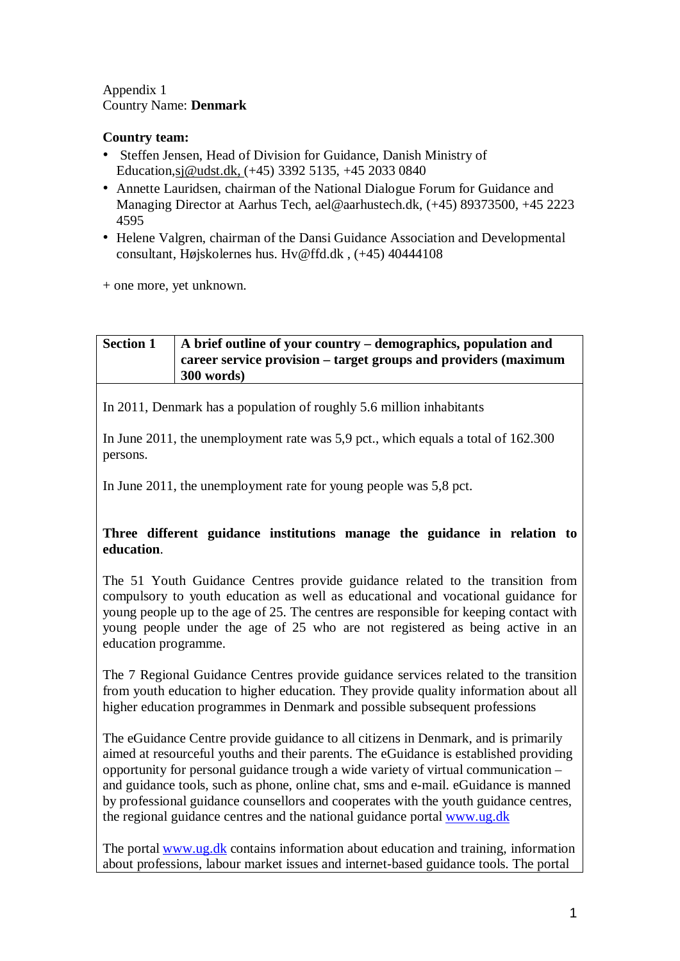#### Appendix 1 Country Name: **Denmark**

# **Country team:**

- Steffen Jensen, Head of Division for Guidance, Danish Ministry of Education,sj@udst.dk, (+45) 3392 5135, +45 2033 0840
- Annette Lauridsen, chairman of the National Dialogue Forum for Guidance and Managing Director at Aarhus Tech, ael@aarhustech.dk, (+45) 89373500, +45 2223 4595
- Helene Valgren, chairman of the Dansi Guidance Association and Developmental consultant, Højskolernes hus. Hv@ffd.dk , (+45) 40444108

+ one more, yet unknown.

# **Section 1 A brief outline of your country – demographics, population and career service provision – target groups and providers (maximum 300 words)**

In 2011, Denmark has a population of roughly 5.6 million inhabitants

In June 2011, the unemployment rate was 5,9 pct., which equals a total of 162.300 persons.

In June 2011, the unemployment rate for young people was 5,8 pct.

# **Three different guidance institutions manage the guidance in relation to education**.

The 51 Youth Guidance Centres provide guidance related to the transition from compulsory to youth education as well as educational and vocational guidance for young people up to the age of 25. The centres are responsible for keeping contact with young people under the age of 25 who are not registered as being active in an education programme.

The 7 Regional Guidance Centres provide guidance services related to the transition from youth education to higher education. They provide quality information about all higher education programmes in Denmark and possible subsequent professions

The eGuidance Centre provide guidance to all citizens in Denmark, and is primarily aimed at resourceful youths and their parents. The eGuidance is established providing opportunity for personal guidance trough a wide variety of virtual communication – and guidance tools, such as phone, online chat, sms and e-mail. eGuidance is manned by professional guidance counsellors and cooperates with the youth guidance centres, the regional guidance centres and the national guidance portal [www.ug.dk](http://www.ug.dk/)

The portal [www.ug.dk](http://www.ug.dk/) contains information about education and training, information about professions, labour market issues and internet-based guidance tools. The portal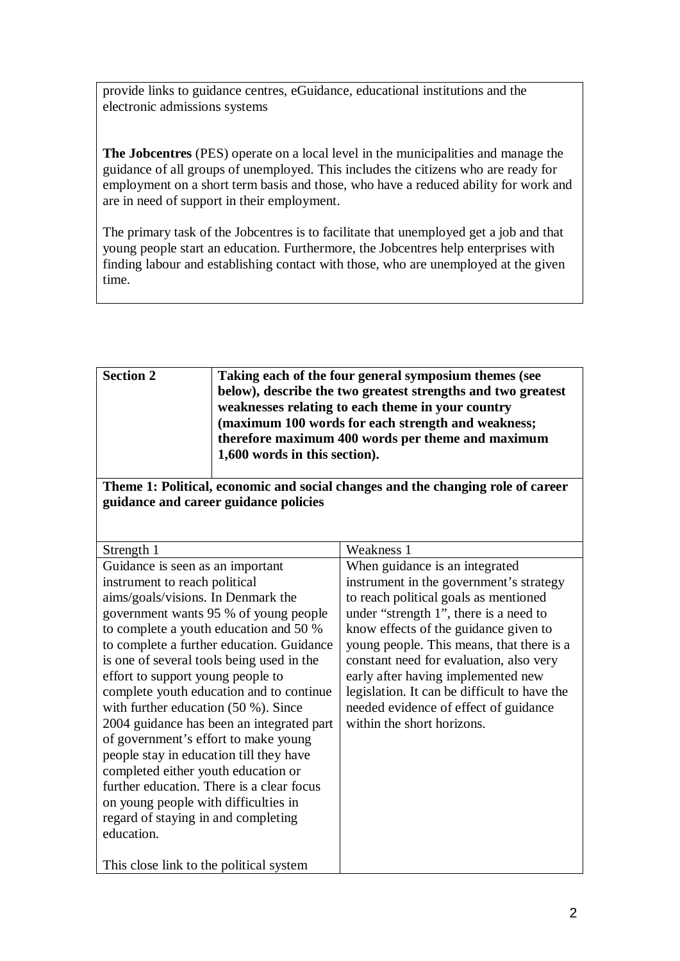provide links to guidance centres, eGuidance, educational institutions and the electronic admissions systems

**The Jobcentres** (PES) operate on a local level in the municipalities and manage the guidance of all groups of unemployed. This includes the citizens who are ready for employment on a short term basis and those, who have a reduced ability for work and are in need of support in their employment.

The primary task of the Jobcentres is to facilitate that unemployed get a job and that young people start an education. Furthermore, the Jobcentres help enterprises with finding labour and establishing contact with those, who are unemployed at the given time.

| <b>Section 2</b> | Taking each of the four general symposium themes (see        |
|------------------|--------------------------------------------------------------|
|                  | below), describe the two greatest strengths and two greatest |
|                  | weaknesses relating to each theme in your country            |
|                  | (maximum 100 words for each strength and weakness;           |
|                  | therefore maximum 400 words per theme and maximum            |
|                  | 1,600 words in this section).                                |
|                  |                                                              |

**Theme 1: Political, economic and social changes and the changing role of career guidance and career guidance policies**

| Strength 1                                | Weakness 1                                   |
|-------------------------------------------|----------------------------------------------|
| Guidance is seen as an important          | When guidance is an integrated               |
| instrument to reach political             | instrument in the government's strategy      |
| aims/goals/visions. In Denmark the        | to reach political goals as mentioned        |
| government wants 95 % of young people     | under "strength 1", there is a need to       |
| to complete a youth education and 50 %    | know effects of the guidance given to        |
| to complete a further education. Guidance | young people. This means, that there is a    |
| is one of several tools being used in the | constant need for evaluation, also very      |
| effort to support young people to         | early after having implemented new           |
| complete youth education and to continue  | legislation. It can be difficult to have the |
| with further education $(50 \%)$ . Since  | needed evidence of effect of guidance        |
| 2004 guidance has been an integrated part | within the short horizons.                   |
| of government's effort to make young      |                                              |
| people stay in education till they have   |                                              |
| completed either youth education or       |                                              |
| further education. There is a clear focus |                                              |
| on young people with difficulties in      |                                              |
| regard of staying in and completing       |                                              |
| education.                                |                                              |
|                                           |                                              |
| This close link to the political system   |                                              |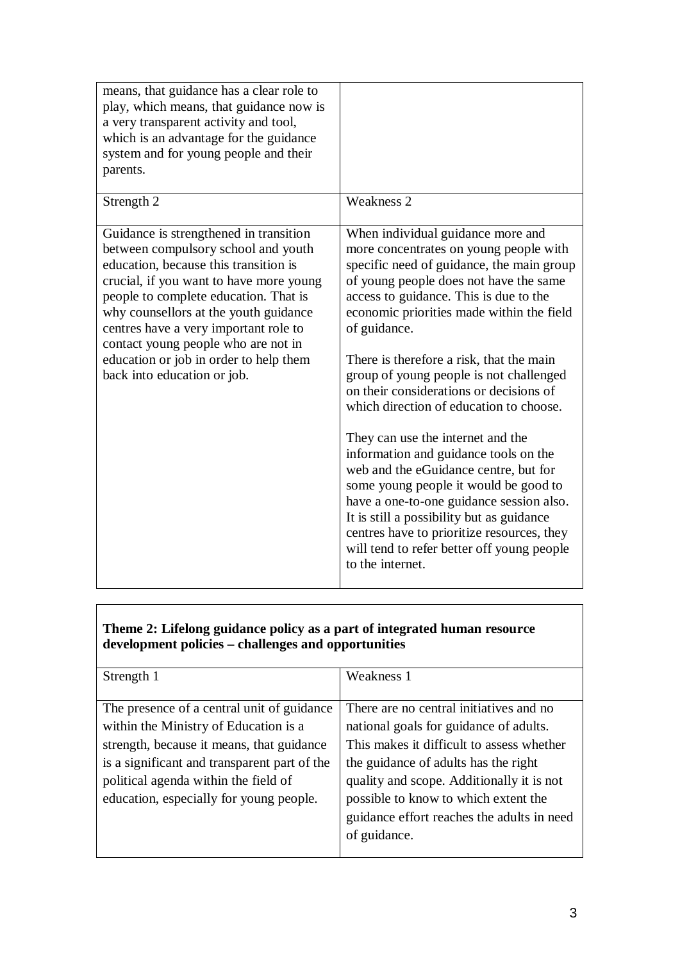| means, that guidance has a clear role to<br>play, which means, that guidance now is<br>a very transparent activity and tool,<br>which is an advantage for the guidance<br>system and for young people and their<br>parents.                                                                                                                                                                                  |                                                                                                                                                                                                                                                                                                                                                                                                                                                                                                                                                                                                                                                                                                                                                                                                                                 |
|--------------------------------------------------------------------------------------------------------------------------------------------------------------------------------------------------------------------------------------------------------------------------------------------------------------------------------------------------------------------------------------------------------------|---------------------------------------------------------------------------------------------------------------------------------------------------------------------------------------------------------------------------------------------------------------------------------------------------------------------------------------------------------------------------------------------------------------------------------------------------------------------------------------------------------------------------------------------------------------------------------------------------------------------------------------------------------------------------------------------------------------------------------------------------------------------------------------------------------------------------------|
| Strength 2                                                                                                                                                                                                                                                                                                                                                                                                   | <b>Weakness 2</b>                                                                                                                                                                                                                                                                                                                                                                                                                                                                                                                                                                                                                                                                                                                                                                                                               |
| Guidance is strengthened in transition<br>between compulsory school and youth<br>education, because this transition is<br>crucial, if you want to have more young<br>people to complete education. That is<br>why counsellors at the youth guidance<br>centres have a very important role to<br>contact young people who are not in<br>education or job in order to help them<br>back into education or job. | When individual guidance more and<br>more concentrates on young people with<br>specific need of guidance, the main group<br>of young people does not have the same<br>access to guidance. This is due to the<br>economic priorities made within the field<br>of guidance.<br>There is therefore a risk, that the main<br>group of young people is not challenged<br>on their considerations or decisions of<br>which direction of education to choose.<br>They can use the internet and the<br>information and guidance tools on the<br>web and the eGuidance centre, but for<br>some young people it would be good to<br>have a one-to-one guidance session also.<br>It is still a possibility but as guidance<br>centres have to prioritize resources, they<br>will tend to refer better off young people<br>to the internet. |

### **Theme 2: Lifelong guidance policy as a part of integrated human resource development policies – challenges and opportunities**

| Strength 1                                   | Weakness 1                                 |  |  |
|----------------------------------------------|--------------------------------------------|--|--|
|                                              |                                            |  |  |
| The presence of a central unit of guidance   | There are no central initiatives and no    |  |  |
| within the Ministry of Education is a        | national goals for guidance of adults.     |  |  |
| strength, because it means, that guidance    | This makes it difficult to assess whether  |  |  |
| is a significant and transparent part of the | the guidance of adults has the right       |  |  |
| political agenda within the field of         | quality and scope. Additionally it is not  |  |  |
| education, especially for young people.      | possible to know to which extent the       |  |  |
|                                              | guidance effort reaches the adults in need |  |  |
|                                              | of guidance.                               |  |  |
|                                              |                                            |  |  |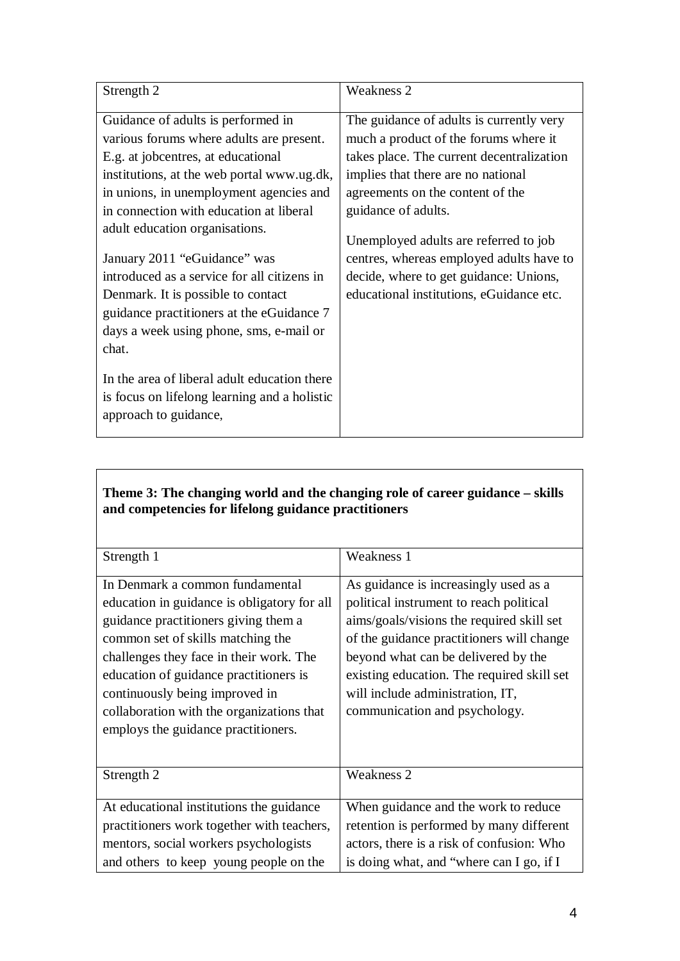# **Theme 3: The changing world and the changing role of career guidance – skills and competencies for lifelong guidance practitioners**

| Strength 1                                  | Weakness 1                                 |  |  |
|---------------------------------------------|--------------------------------------------|--|--|
| In Denmark a common fundamental             | As guidance is increasingly used as a      |  |  |
| education in guidance is obligatory for all | political instrument to reach political    |  |  |
| guidance practitioners giving them a        | aims/goals/visions the required skill set  |  |  |
| common set of skills matching the           | of the guidance practitioners will change  |  |  |
| challenges they face in their work. The     | beyond what can be delivered by the        |  |  |
| education of guidance practitioners is      | existing education. The required skill set |  |  |
| continuously being improved in              | will include administration, IT,           |  |  |
| collaboration with the organizations that   | communication and psychology.              |  |  |
| employs the guidance practitioners.         |                                            |  |  |
|                                             |                                            |  |  |
| Strength 2                                  | Weakness 2                                 |  |  |
|                                             |                                            |  |  |
| At educational institutions the guidance    | When guidance and the work to reduce       |  |  |
| practitioners work together with teachers,  | retention is performed by many different   |  |  |
| mentors, social workers psychologists       | actors, there is a risk of confusion: Who  |  |  |
| and others to keep young people on the      | is doing what, and "where can I go, if I   |  |  |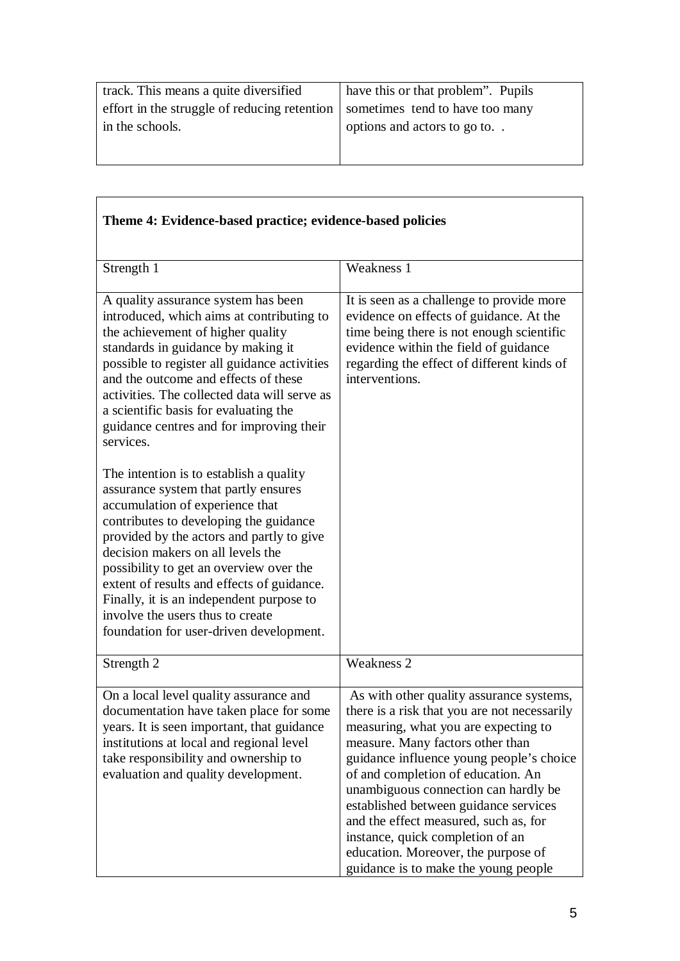| track. This means a quite diversified                                        | have this or that problem". Pupils |  |  |
|------------------------------------------------------------------------------|------------------------------------|--|--|
| effort in the struggle of reducing retention sometimes tend to have too many |                                    |  |  |
| in the schools.                                                              | options and actors to go to        |  |  |
|                                                                              |                                    |  |  |

| Theme 4: Evidence-based practice; evidence-based policies                                                                                                                                                                                                                                                                                                                                                                                                          |                                                                                                                                                                                                                                                                                                                                                                                                                                                                                                     |
|--------------------------------------------------------------------------------------------------------------------------------------------------------------------------------------------------------------------------------------------------------------------------------------------------------------------------------------------------------------------------------------------------------------------------------------------------------------------|-----------------------------------------------------------------------------------------------------------------------------------------------------------------------------------------------------------------------------------------------------------------------------------------------------------------------------------------------------------------------------------------------------------------------------------------------------------------------------------------------------|
| Strength 1                                                                                                                                                                                                                                                                                                                                                                                                                                                         | Weakness 1                                                                                                                                                                                                                                                                                                                                                                                                                                                                                          |
| A quality assurance system has been<br>introduced, which aims at contributing to<br>the achievement of higher quality<br>standards in guidance by making it<br>possible to register all guidance activities<br>and the outcome and effects of these<br>activities. The collected data will serve as<br>a scientific basis for evaluating the<br>guidance centres and for improving their<br>services.                                                              | It is seen as a challenge to provide more<br>evidence on effects of guidance. At the<br>time being there is not enough scientific<br>evidence within the field of guidance<br>regarding the effect of different kinds of<br>interventions.                                                                                                                                                                                                                                                          |
| The intention is to establish a quality<br>assurance system that partly ensures<br>accumulation of experience that<br>contributes to developing the guidance<br>provided by the actors and partly to give<br>decision makers on all levels the<br>possibility to get an overview over the<br>extent of results and effects of guidance.<br>Finally, it is an independent purpose to<br>involve the users thus to create<br>foundation for user-driven development. |                                                                                                                                                                                                                                                                                                                                                                                                                                                                                                     |
| Strength 2                                                                                                                                                                                                                                                                                                                                                                                                                                                         | <b>Weakness 2</b>                                                                                                                                                                                                                                                                                                                                                                                                                                                                                   |
| On a local level quality assurance and<br>documentation have taken place for some<br>years. It is seen important, that guidance<br>institutions at local and regional level<br>take responsibility and ownership to<br>evaluation and quality development.                                                                                                                                                                                                         | As with other quality assurance systems,<br>there is a risk that you are not necessarily<br>measuring, what you are expecting to<br>measure. Many factors other than<br>guidance influence young people's choice<br>of and completion of education. An<br>unambiguous connection can hardly be<br>established between guidance services<br>and the effect measured, such as, for<br>instance, quick completion of an<br>education. Moreover, the purpose of<br>guidance is to make the young people |

# **Theme 4: Evidence-based practice; evidence-based policies**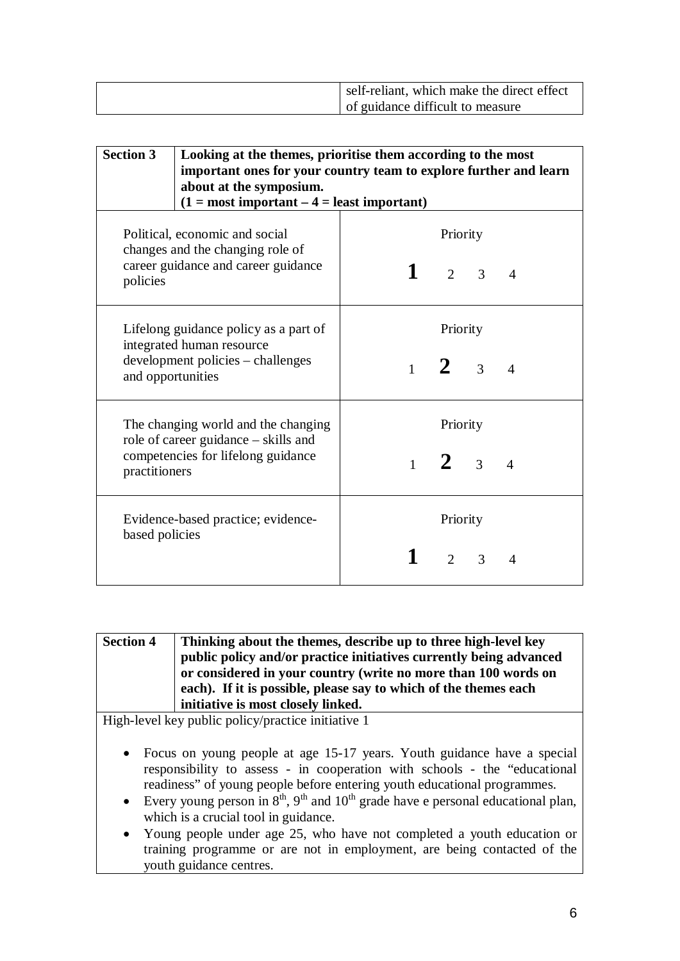| self-reliant, which make the direct effect |
|--------------------------------------------|
| of guidance difficult to measure           |

| <b>Section 3</b><br>Looking at the themes, prioritise them according to the most<br>important ones for your country team to explore further and learn<br>about at the symposium.<br>$(1 = most important – 4 = least important)$ |                                    |                                                                      |                                         |   |                |
|----------------------------------------------------------------------------------------------------------------------------------------------------------------------------------------------------------------------------------|------------------------------------|----------------------------------------------------------------------|-----------------------------------------|---|----------------|
| Political, economic and social<br>changes and the changing role of<br>career guidance and career guidance<br>policies                                                                                                            |                                    |                                                                      | Priority<br>$\frac{1}{2}$ 3             |   | $\overline{A}$ |
| Lifelong guidance policy as a part of<br>integrated human resource<br>development policies - challenges<br>and opportunities                                                                                                     |                                    | Priority<br>$\frac{1}{2}$<br>$\mathcal{Z}$<br>$\boldsymbol{\Lambda}$ |                                         |   |                |
| The changing world and the changing<br>role of career guidance - skills and<br>competencies for lifelong guidance<br>practitioners                                                                                               |                                    |                                                                      | Priority<br>1 <b>2</b> 3                |   | $\overline{4}$ |
| based policies                                                                                                                                                                                                                   | Evidence-based practice; evidence- |                                                                      | Priority<br>$\mathcal{D}_{\mathcal{L}}$ | 3 | $\overline{A}$ |

| <b>Section 4</b> | Thinking about the themes, describe up to three high-level key     |
|------------------|--------------------------------------------------------------------|
|                  | public policy and/or practice initiatives currently being advanced |
|                  | or considered in your country (write no more than 100 words on     |
|                  | each). If it is possible, please say to which of the themes each   |
|                  | initiative is most closely linked.                                 |

High-level key public policy/practice initiative 1

- Focus on young people at age 15-17 years. Youth guidance have a special responsibility to assess - in cooperation with schools - the "educational readiness" of young people before entering youth educational programmes.
- Every young person in  $8<sup>th</sup>$ ,  $9<sup>th</sup>$  and  $10<sup>th</sup>$  grade have e personal educational plan, which is a crucial tool in guidance.
- Young people under age 25, who have not completed a youth education or training programme or are not in employment, are being contacted of the youth guidance centres.